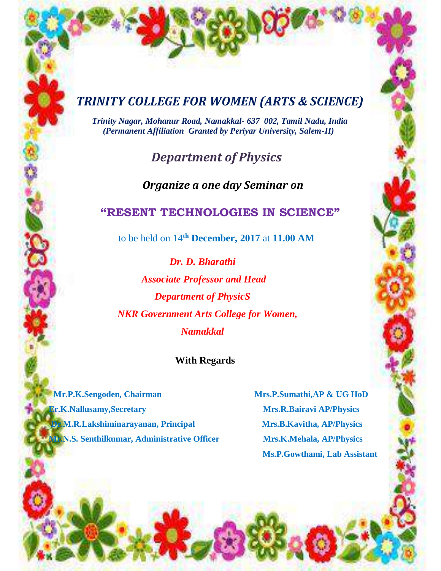# *TRINITY COLLEGE FOR WOMEN (ARTS & SCIENCE)*

 *Trinity Nagar, Mohanur Road, Namakkal- 637 002, Tamil Nadu, India (Permanent Affiliation Granted by Periyar University, Salem-II)* 

# *Department of Physics*

 *Organize a one day Seminar on*

## **"RESENT TECHNOLOGIES IN SCIENCE"**

to be held on 14**th December, 2017** at **11.00 AM**

*Dr. D. Bharathi Associate Professor and Head Department of PhysicS NKR Government Arts College for Women, Namakkal*

**With Regards**

**Mr.P.K.Sengoden, Chairman Mrs.P.Sumathi,AP & UG HoD Er.K.Nallusamy,Secretary Mrs.R.Bairavi AP/Physics Dr.M.R.Lakshiminarayanan, Principal Mrs.B.Kavitha, AP/Physics Mr.N.S. Senthilkumar, Administrative Officer Mrs.K.Mehala, AP/Physics**

 **Ms.P.Gowthami, Lab Assistant**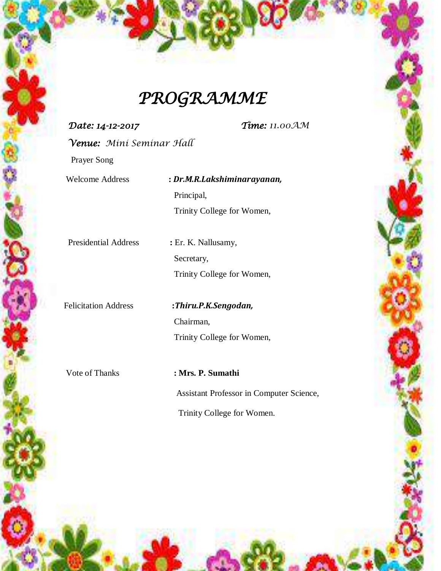# *PROGRAMME*

 *Date: 14-12-2017 Time: 11.00AM*

 *Venue: Mini Seminar Hall* Prayer Song

 Welcome Address **:** *Dr.M.R.Lakshiminarayanan,* Principal, Trinity College for Women,

Presidential Address **:** Er. K. Nallusamy,

 Secretary, Trinity College for Women,

Felicitation Address **:***Thiru.P.K.Sengodan,*

Chairman, Trinity College for Women,

Vote of Thanks **: Mrs. P. Sumathi**

Í

Assistant Professor in Computer Science, Trinity College for Women.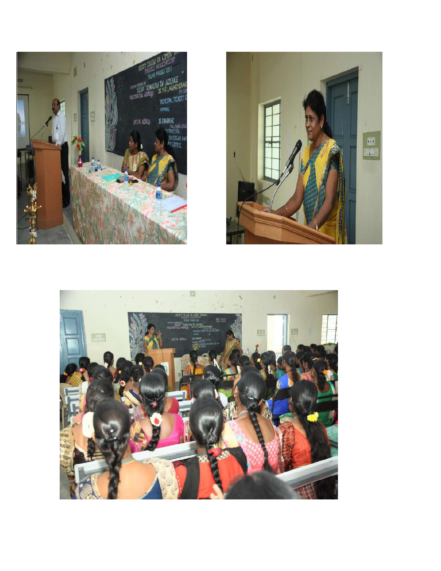